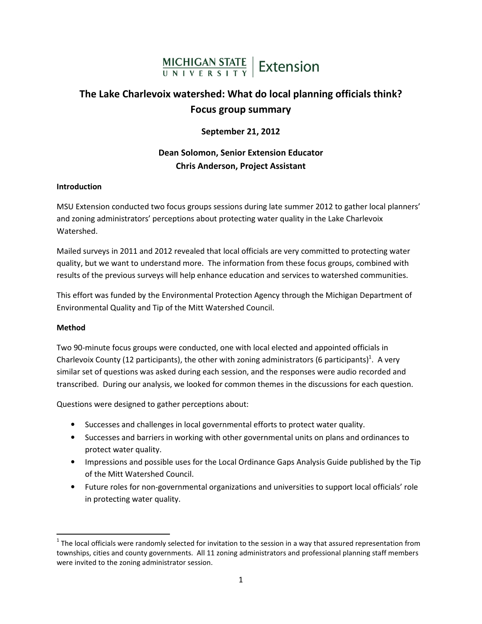# MICHIGAN STATE | Extension

## The Lake Charlevoix watershed: What do local planning officials think? Focus group summary

#### September 21, 2012

### Dean Solomon, Senior Extension Educator Chris Anderson, Project Assistant

#### Introduction

MSU Extension conducted two focus groups sessions during late summer 2012 to gather local planners' and zoning administrators' perceptions about protecting water quality in the Lake Charlevoix Watershed.

Mailed surveys in 2011 and 2012 revealed that local officials are very committed to protecting water quality, but we want to understand more. The information from these focus groups, combined with results of the previous surveys will help enhance education and services to watershed communities.

This effort was funded by the Environmental Protection Agency through the Michigan Department of Environmental Quality and Tip of the Mitt Watershed Council.

#### Method

 $\overline{\phantom{a}}$ 

Two 90-minute focus groups were conducted, one with local elected and appointed officials in Charlevoix County (12 participants), the other with zoning administrators (6 participants)<sup>1</sup>. A very similar set of questions was asked during each session, and the responses were audio recorded and transcribed. During our analysis, we looked for common themes in the discussions for each question.

Questions were designed to gather perceptions about:

- Successes and challenges in local governmental efforts to protect water quality.
- Successes and barriers in working with other governmental units on plans and ordinances to protect water quality.
- Impressions and possible uses for the Local Ordinance Gaps Analysis Guide published by the Tip of the Mitt Watershed Council.
- Future roles for non-governmental organizations and universities to support local officials' role in protecting water quality.

 $1$  The local officials were randomly selected for invitation to the session in a way that assured representation from townships, cities and county governments. All 11 zoning administrators and professional planning staff members were invited to the zoning administrator session.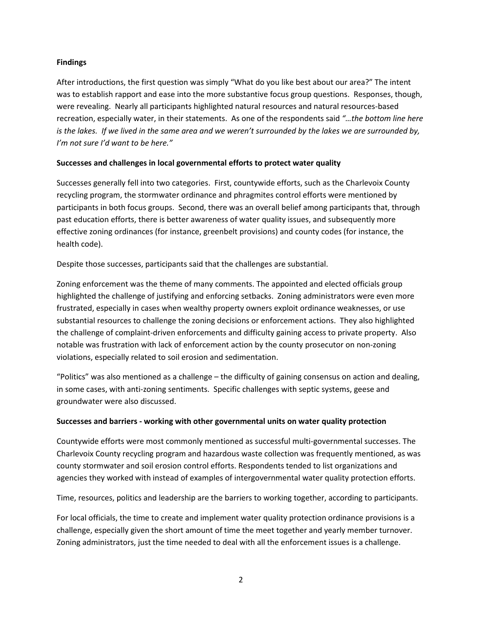#### Findings

After introductions, the first question was simply "What do you like best about our area?" The intent was to establish rapport and ease into the more substantive focus group questions. Responses, though, were revealing. Nearly all participants highlighted natural resources and natural resources-based recreation, especially water, in their statements. As one of the respondents said "…the bottom line here is the lakes. If we lived in the same area and we weren't surrounded by the lakes we are surrounded by, I'm not sure I'd want to be here."

#### Successes and challenges in local governmental efforts to protect water quality

Successes generally fell into two categories. First, countywide efforts, such as the Charlevoix County recycling program, the stormwater ordinance and phragmites control efforts were mentioned by participants in both focus groups. Second, there was an overall belief among participants that, through past education efforts, there is better awareness of water quality issues, and subsequently more effective zoning ordinances (for instance, greenbelt provisions) and county codes (for instance, the health code).

Despite those successes, participants said that the challenges are substantial.

Zoning enforcement was the theme of many comments. The appointed and elected officials group highlighted the challenge of justifying and enforcing setbacks. Zoning administrators were even more frustrated, especially in cases when wealthy property owners exploit ordinance weaknesses, or use substantial resources to challenge the zoning decisions or enforcement actions. They also highlighted the challenge of complaint-driven enforcements and difficulty gaining access to private property. Also notable was frustration with lack of enforcement action by the county prosecutor on non-zoning violations, especially related to soil erosion and sedimentation.

"Politics" was also mentioned as a challenge – the difficulty of gaining consensus on action and dealing, in some cases, with anti-zoning sentiments. Specific challenges with septic systems, geese and groundwater were also discussed.

#### Successes and barriers - working with other governmental units on water quality protection

Countywide efforts were most commonly mentioned as successful multi-governmental successes. The Charlevoix County recycling program and hazardous waste collection was frequently mentioned, as was county stormwater and soil erosion control efforts. Respondents tended to list organizations and agencies they worked with instead of examples of intergovernmental water quality protection efforts.

Time, resources, politics and leadership are the barriers to working together, according to participants.

For local officials, the time to create and implement water quality protection ordinance provisions is a challenge, especially given the short amount of time the meet together and yearly member turnover. Zoning administrators, just the time needed to deal with all the enforcement issues is a challenge.